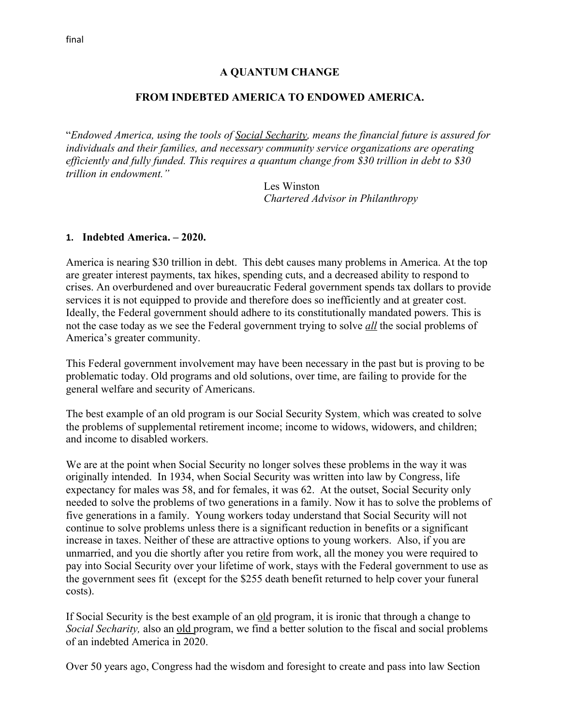#### **A QUANTUM CHANGE**

#### **FROM INDEBTED AMERICA TO ENDOWED AMERICA.**

"*Endowed America, using the tools of Social Secharity, means the financial future is assured for individuals and their families, and necessary community service organizations are operating efficiently and fully funded. This requires a quantum change from \$30 trillion in debt to \$30 trillion in endowment."*

> Les Winston *Chartered Advisor in Philanthropy*

#### **1. Indebted America. – 2020.**

America is nearing \$30 trillion in debt. This debt causes many problems in America. At the top are greater interest payments, tax hikes, spending cuts, and a decreased ability to respond to crises. An overburdened and over bureaucratic Federal government spends tax dollars to provide services it is not equipped to provide and therefore does so inefficiently and at greater cost. Ideally, the Federal government should adhere to its constitutionally mandated powers. This is not the case today as we see the Federal government trying to solve *all* the social problems of America's greater community.

This Federal government involvement may have been necessary in the past but is proving to be problematic today. Old programs and old solutions, over time, are failing to provide for the general welfare and security of Americans.

The best example of an old program is our Social Security System, which was created to solve the problems of supplemental retirement income; income to widows, widowers, and children; and income to disabled workers.

We are at the point when Social Security no longer solves these problems in the way it was originally intended. In 1934, when Social Security was written into law by Congress, life expectancy for males was 58, and for females, it was 62. At the outset, Social Security only needed to solve the problems of two generations in a family. Now it has to solve the problems of five generations in a family. Young workers today understand that Social Security will not continue to solve problems unless there is a significant reduction in benefits or a significant increase in taxes. Neither of these are attractive options to young workers. Also, if you are unmarried, and you die shortly after you retire from work, all the money you were required to pay into Social Security over your lifetime of work, stays with the Federal government to use as the government sees fit (except for the \$255 death benefit returned to help cover your funeral costs).

If Social Security is the best example of an old program, it is ironic that through a change to *Social Secharity*, also an old program, we find a better solution to the fiscal and social problems of an indebted America in 2020.

Over 50 years ago, Congress had the wisdom and foresight to create and pass into law Section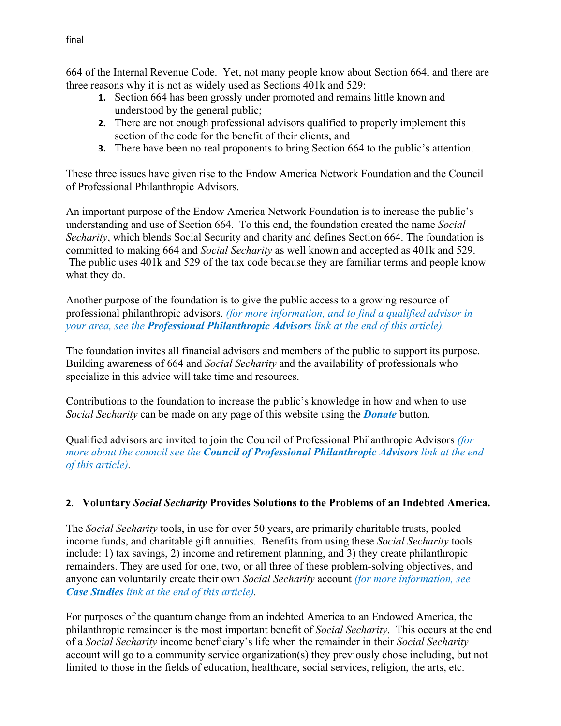664 of the Internal Revenue Code. Yet, not many people know about Section 664, and there are three reasons why it is not as widely used as Sections 401k and 529:

- **1.** Section 664 has been grossly under promoted and remains little known and understood by the general public;
- **2.** There are not enough professional advisors qualified to properly implement this section of the code for the benefit of their clients, and
- **3.** There have been no real proponents to bring Section 664 to the public's attention.

These three issues have given rise to the Endow America Network Foundation and the Council of Professional Philanthropic Advisors.

An important purpose of the Endow America Network Foundation is to increase the public's understanding and use of Section 664. To this end, the foundation created the name *Social Secharity*, which blends Social Security and charity and defines Section 664. The foundation is committed to making 664 and *Social Secharity* as well known and accepted as 401k and 529. The public uses 401k and 529 of the tax code because they are familiar terms and people know what they do.

Another purpose of the foundation is to give the public access to a growing resource of professional philanthropic advisors. *(for more information, and to find a qualified advisor in your area, see the Professional Philanthropic Advisors link at the end of this article).*

The foundation invites all financial advisors and members of the public to support its purpose. Building awareness of 664 and *Social Secharity* and the availability of professionals who specialize in this advice will take time and resources.

Contributions to the foundation to increase the public's knowledge in how and when to use *Social Secharity* can be made on any page of this website using the *Donate* button.

Qualified advisors are invited to join the Council of Professional Philanthropic Advisors *(for more about the council see the Council of Professional Philanthropic Advisors link at the end of this article).*

# **2. Voluntary** *Social Secharity* **Provides Solutions to the Problems of an Indebted America.**

The *Social Secharity* tools, in use for over 50 years, are primarily charitable trusts, pooled income funds, and charitable gift annuities. Benefits from using these *Social Secharity* tools include: 1) tax savings, 2) income and retirement planning, and 3) they create philanthropic remainders. They are used for one, two, or all three of these problem-solving objectives, and anyone can voluntarily create their own *Social Secharity* account *(for more information, see Case Studies link at the end of this article).*

For purposes of the quantum change from an indebted America to an Endowed America, the philanthropic remainder is the most important benefit of *Social Secharity*. This occurs at the end of a *Social Secharity* income beneficiary's life when the remainder in their *Social Secharity* account will go to a community service organization(s) they previously chose including, but not limited to those in the fields of education, healthcare, social services, religion, the arts, etc.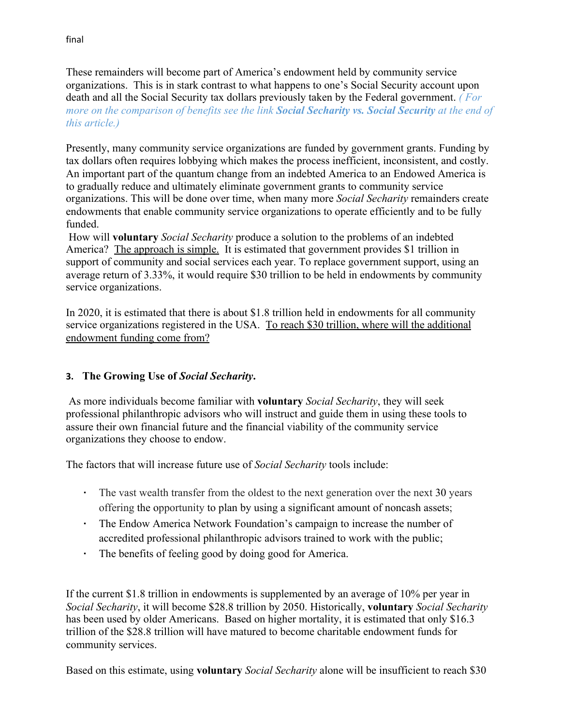These remainders will become part of America's endowment held by community service organizations. This is in stark contrast to what happens to one's Social Security account upon death and all the Social Security tax dollars previously taken by the Federal government. *( For more on the comparison of benefits see the link Social Secharity vs. Social Security at the end of this article.)*

Presently, many community service organizations are funded by government grants. Funding by tax dollars often requires lobbying which makes the process inefficient, inconsistent, and costly. An important part of the quantum change from an indebted America to an Endowed America is to gradually reduce and ultimately eliminate government grants to community service organizations. This will be done over time, when many more *Social Secharity* remainders create endowments that enable community service organizations to operate efficiently and to be fully funded.

How will **voluntary** *Social Secharity* produce a solution to the problems of an indebted America? The approach is simple. It is estimated that government provides \$1 trillion in support of community and social services each year. To replace government support, using an average return of 3.33%, it would require \$30 trillion to be held in endowments by community service organizations.

In 2020, it is estimated that there is about \$1.8 trillion held in endowments for all community service organizations registered in the USA. To reach \$30 trillion, where will the additional endowment funding come from?

## **3. The Growing Use of** *Social Secharity***.**

 As more individuals become familiar with **voluntary** *Social Secharity*, they will seek professional philanthropic advisors who will instruct and guide them in using these tools to assure their own financial future and the financial viability of the community service organizations they choose to endow.

The factors that will increase future use of *Social Secharity* tools include:

- The vast wealth transfer from the oldest to the next generation over the next 30 years offering the opportunity to plan by using a significant amount of noncash assets;
- The Endow America Network Foundation's campaign to increase the number of accredited professional philanthropic advisors trained to work with the public;
- The benefits of feeling good by doing good for America.

If the current \$1.8 trillion in endowments is supplemented by an average of 10% per year in *Social Secharity*, it will become \$28.8 trillion by 2050. Historically, **voluntary** *Social Secharity* has been used by older Americans. Based on higher mortality, it is estimated that only \$16.3 trillion of the \$28.8 trillion will have matured to become charitable endowment funds for community services.

Based on this estimate, using **voluntary** *Social Secharity* alone will be insufficient to reach \$30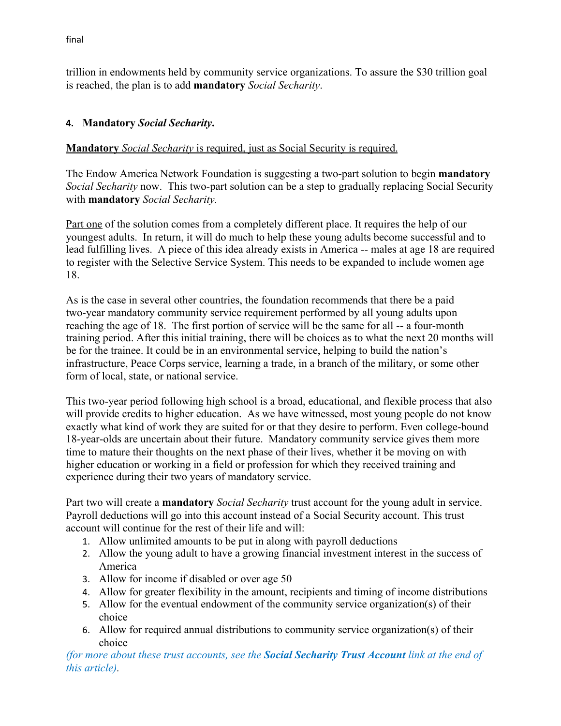trillion in endowments held by community service organizations. To assure the \$30 trillion goal is reached, the plan is to add **mandatory** *Social Secharity*.

# **4. Mandatory** *Social Secharity***.**

## **Mandatory** *Social Secharity* is required, just as Social Security is required.

The Endow America Network Foundation is suggesting a two-part solution to begin **mandatory** *Social Secharity* now. This two-part solution can be a step to gradually replacing Social Security with **mandatory** *Social Secharity.*

Part one of the solution comes from a completely different place. It requires the help of our youngest adults. In return, it will do much to help these young adults become successful and to lead fulfilling lives. A piece of this idea already exists in America -- males at age 18 are required to register with the Selective Service System. This needs to be expanded to include women age 18.

As is the case in several other countries, the foundation recommends that there be a paid two-year mandatory community service requirement performed by all young adults upon reaching the age of 18. The first portion of service will be the same for all -- a four-month training period. After this initial training, there will be choices as to what the next 20 months will be for the trainee. It could be in an environmental service, helping to build the nation's infrastructure, Peace Corps service, learning a trade, in a branch of the military, or some other form of local, state, or national service.

This two-year period following high school is a broad, educational, and flexible process that also will provide credits to higher education. As we have witnessed, most young people do not know exactly what kind of work they are suited for or that they desire to perform. Even college-bound 18-year-olds are uncertain about their future. Mandatory community service gives them more time to mature their thoughts on the next phase of their lives, whether it be moving on with higher education or working in a field or profession for which they received training and experience during their two years of mandatory service.

Part two will create a **mandatory** *Social Secharity* trust account for the young adult in service. Payroll deductions will go into this account instead of a Social Security account. This trust account will continue for the rest of their life and will:

- 1. Allow unlimited amounts to be put in along with payroll deductions
- 2. Allow the young adult to have a growing financial investment interest in the success of America
- 3. Allow for income if disabled or over age 50
- 4. Allow for greater flexibility in the amount, recipients and timing of income distributions
- 5. Allow for the eventual endowment of the community service organization(s) of their choice
- 6. Allow for required annual distributions to community service organization(s) of their choice

*(for more about these trust accounts, see the Social Secharity Trust Account link at the end of this article).*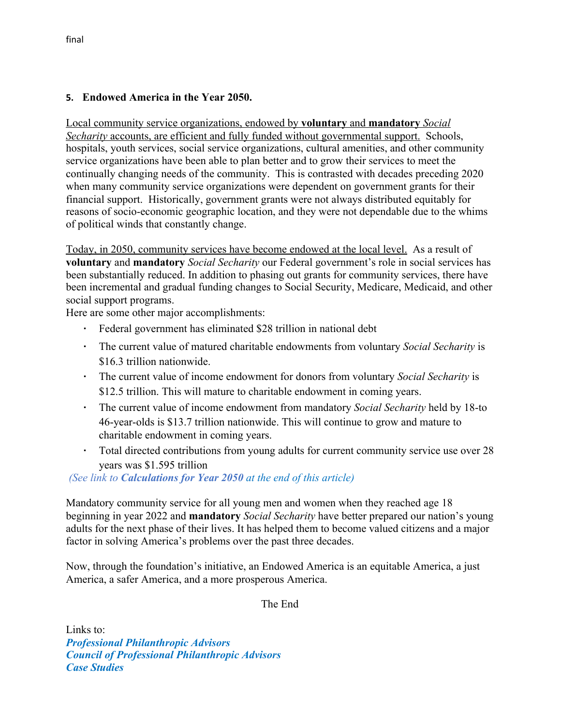### **5. Endowed America in the Year 2050.**

Local community service organizations, endowed by **voluntary** and **mandatory** *Social Secharity* accounts, are efficient and fully funded without governmental support. Schools, hospitals, youth services, social service organizations, cultural amenities, and other community service organizations have been able to plan better and to grow their services to meet the continually changing needs of the community. This is contrasted with decades preceding 2020 when many community service organizations were dependent on government grants for their financial support. Historically, government grants were not always distributed equitably for reasons of socio-economic geographic location, and they were not dependable due to the whims of political winds that constantly change.

Today, in 2050, community services have become endowed at the local level. As a result of **voluntary** and **mandatory** *Social Secharity* our Federal government's role in social services has been substantially reduced. In addition to phasing out grants for community services, there have been incremental and gradual funding changes to Social Security, Medicare, Medicaid, and other social support programs.

Here are some other major accomplishments:

- Federal government has eliminated \$28 trillion in national debt
- The current value of matured charitable endowments from voluntary *Social Secharity* is \$16.3 trillion nationwide.
- The current value of income endowment for donors from voluntary *Social Secharity* is \$12.5 trillion. This will mature to charitable endowment in coming years.
- The current value of income endowment from mandatory *Social Secharity* held by 18-to 46-year-olds is \$13.7 trillion nationwide. This will continue to grow and mature to charitable endowment in coming years.
- Total directed contributions from young adults for current community service use over 28 years was \$1.595 trillion

 *(See link to Calculations for Year 2050 at the end of this article)*

Mandatory community service for all young men and women when they reached age 18 beginning in year 2022 and **mandatory** *Social Secharity* have better prepared our nation's young adults for the next phase of their lives. It has helped them to become valued citizens and a major factor in solving America's problems over the past three decades.

Now, through the foundation's initiative, an Endowed America is an equitable America, a just America, a safer America, and a more prosperous America.

The End